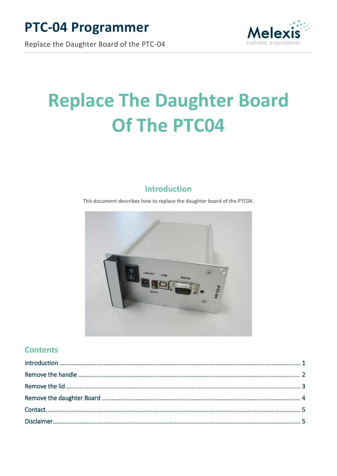# **PTC-04 Programmer**



Replace the Daughter Board of the PTC-04

# **Replace The Daughter Board** Of The PTC04

# **Introduction**

<span id="page-0-0"></span>This document describes how to replace the daughter board of the PTC04.



#### **Contents**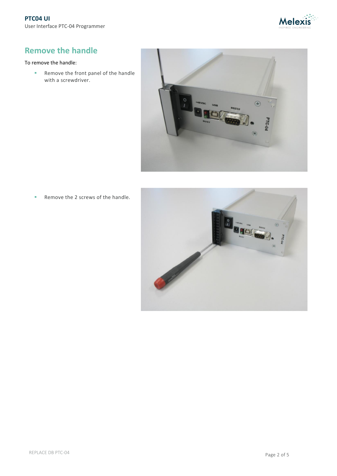

# <span id="page-1-0"></span>**Remove the handle**

#### To remove the handle:

Remove the front panel of the handle with a screwdriver.



Remove the 2 screws of the handle.

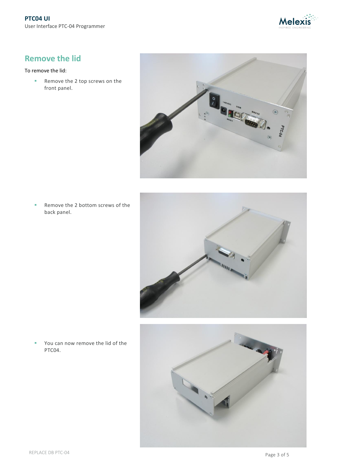

#### <span id="page-2-0"></span>**Remove the lid**

#### To remove the lid:

Remove the 2 top screws on the front panel.



Remove the 2 bottom screws of the back panel.





 You can now remove the lid of the PTC04.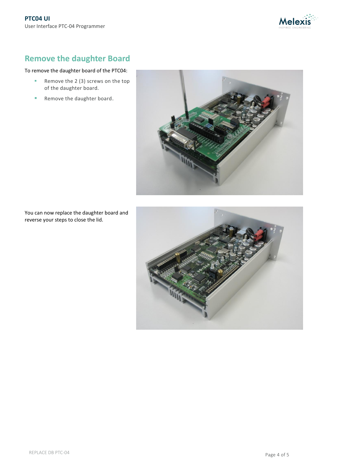

# <span id="page-3-0"></span>**Remove the daughter Board**

#### To remove the daughter board of the PTC04:

- Remove the 2 (3) screws on the top of the daughter board.
- Remove the daughter board.



You can now replace the daughter board and reverse your steps to close the lid.